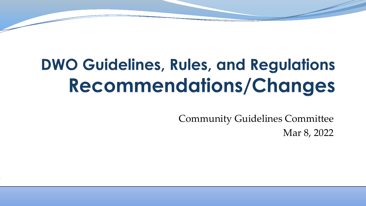#### **DWO Guidelines, Rules, and Regulations** Recommendations/Changes

Community Guidelines Committee Mar 8, 2022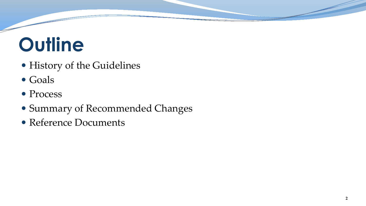## **Outline**

- History of the Guidelines
- Goals
- Process
- Summary of Recommended Changes
- Reference Documents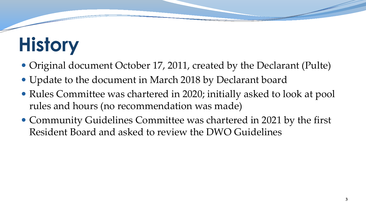## **History**

- Original document October 17, 2011, created by the Declarant (Pulte)
- Update to the document in March 2018 by Declarant board
- Rules Committee was chartered in 2020; initially asked to look at pool rules and hours (no recommendation was made)
- Community Guidelines Committee was chartered in 2021 by the first Resident Board and asked to review the DWO Guidelines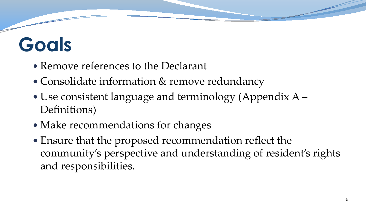## **Goals**

- Remove references to the Declarant
- Consolidate information & remove redundancy
- Use consistent language and terminology (Appendix A Definitions)
- Make recommendations for changes
- Ensure that the proposed recommendation reflect the community's perspective and understanding of resident's rights and responsibilities.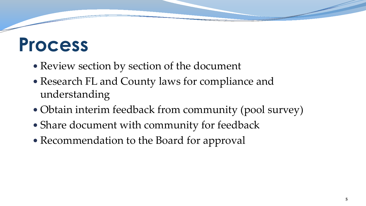#### **Process**

- Review section by section of the document
- Research FL and County laws for compliance and understanding
- Obtain interim feedback from community (pool survey)
- Share document with community for feedback
- Recommendation to the Board for approval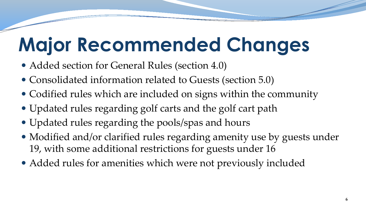## **Major Recommended Changes**

- Added section for General Rules (section 4.0)
- Consolidated information related to Guests (section 5.0)
- Codified rules which are included on signs within the community
- Updated rules regarding golf carts and the golf cart path
- Updated rules regarding the pools/spas and hours
- Modified and/or clarified rules regarding amenity use by guests under 19, with some additional restrictions for guests under 16
- Added rules for amenities which were not previously included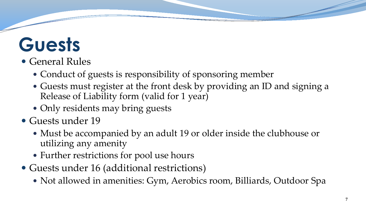#### **Guests**

#### General Rules

- Conduct of guests is responsibility of sponsoring member
- Guests must register at the front desk by providing an ID and signing a Release of Liability form (valid for 1 year)
- Only residents may bring guests
- Guests under 19
	- Must be accompanied by an adult 19 or older inside the clubhouse or utilizing any amenity
	- Further restrictions for pool use hours
- Guests under 16 (additional restrictions)
	- Not allowed in amenities: Gym, Aerobics room, Billiards, Outdoor Spa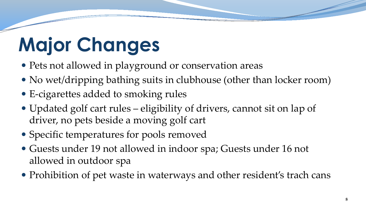# **Major Changes**

- Pets not allowed in playground or conservation areas
- No wet/dripping bathing suits in clubhouse (other than locker room)
- E-cigarettes added to smoking rules
- Updated golf cart rules eligibility of drivers, cannot sit on lap of driver, no pets beside a moving golf cart
- Specific temperatures for pools removed
- Guests under 19 not allowed in indoor spa; Guests under 16 not allowed in outdoor spa
- Prohibition of pet waste in waterways and other resident's trach cans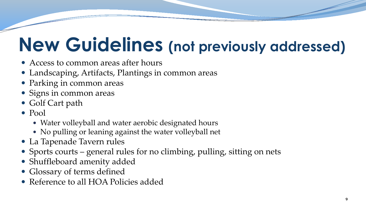## **New Guidelines (not previously addressed)**

- Access to common areas after hours
- Landscaping, Artifacts, Plantings in common areas
- Parking in common areas
- Signs in common areas
- Golf Cart path
- Pool
	- Water volleyball and water aerobic designated hours
	- No pulling or leaning against the water volleyball net
- La Tapenade Tavern rules
- Sports courts general rules for no climbing, pulling, sitting on nets
- Shuffleboard amenity added
- Glossary of terms defined
- Reference to all HOA Policies added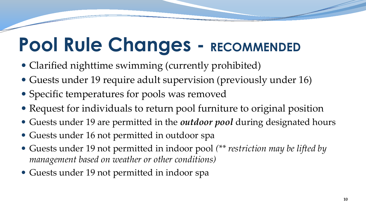## **Pool Rule Changes - RECOMMENDED**

- Clarified nighttime swimming (currently prohibited)
- Guests under 19 require adult supervision (previously under 16)
- Specific temperatures for pools was removed
- Request for individuals to return pool furniture to original position
- Guests under 19 are permitted in the *outdoor pool* during designated hours
- Guests under 16 not permitted in outdoor spa
- Guests under 19 not permitted in indoor pool *(\*\* restriction may be lifted by management based on weather or other conditions)*
- Guests under 19 not permitted in indoor spa